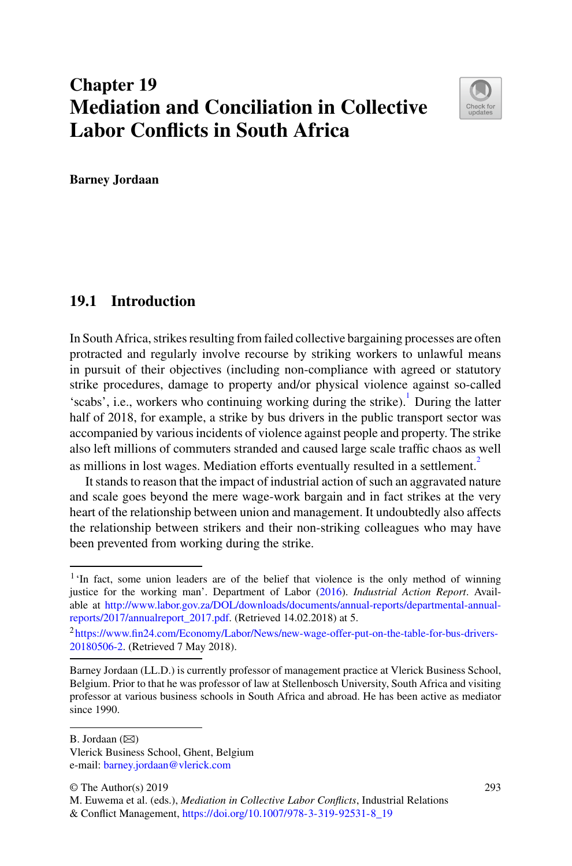# **Chapter 19 Mediation and Conciliation in Collective Labor Conflicts in South Africa**



**Barney Jordaan**

#### **19.1 Introduction**

In South Africa, strikes resulting from failed collective bargaining processes are often protracted and regularly involve recourse by striking workers to unlawful means in pursuit of their objectives (including non-compliance with agreed or statutory strike procedures, damage to property and/or physical violence against so-called 'scabs', i.e., workers who continuing working during the strike).<sup>1</sup> During the latter half of 2018, for example, a strike by bus drivers in the public transport sector was accompanied by various incidents of violence against people and property. The strike also left millions of commuters stranded and caused large scale traffic chaos as well as millions in lost wages. Mediation efforts eventually resulted in a settlement.<sup>[2](#page-0-1)</sup>

It stands to reason that the impact of industrial action of such an aggravated nature and scale goes beyond the mere wage-work bargain and in fact strikes at the very heart of the relationship between union and management. It undoubtedly also affects the relationship between strikers and their non-striking colleagues who may have been prevented from working during the strike.

B. Jordaan  $(\boxtimes)$ 

<span id="page-0-0"></span><sup>&</sup>lt;sup>1</sup> 'In fact, some union leaders are of the belief that violence is the only method of winning justice for the working man'. Department of Labor [\(2016\)](#page-14-0). *Industrial Action Report*. Available at [http://www.labor.gov.za/DOL/downloads/documents/annual-reports/departmental-annual](http://www.labor.gov.za/DOL/downloads/documents/annual-reports/departmental-annual-reports/2017/annualreport_2017.pdf)reports/2017/annualreport\_2017.pdf. (Retrieved 14.02.2018) at 5.

<span id="page-0-1"></span><sup>2</sup> [https://www.fin24.com/Economy/Labor/News/new-wage-offer-put-on-the-table-for-bus-drivers-](https://www.fin24.com/Economy/Labor/News/new-wage-offer-put-on-the-table-for-bus-drivers-20180506-2)20180506-2. (Retrieved 7 May 2018).

Barney Jordaan (LL.D.) is currently professor of management practice at Vlerick Business School, Belgium. Prior to that he was professor of law at Stellenbosch University, South Africa and visiting professor at various business schools in South Africa and abroad. He has been active as mediator since 1990.

Vlerick Business School, Ghent, Belgium e-mail: [barney.jordaan@vlerick.com](mailto:barney.jordaan@vlerick.com)

M. Euwema et al. (eds.), *Mediation in Collective Labor Conflicts*, Industrial Relations & Conflict Management, [https://doi.org/10.1007/978-3-319-92531-8\\_19](https://doi.org/10.1007/978-3-319-92531-8_19)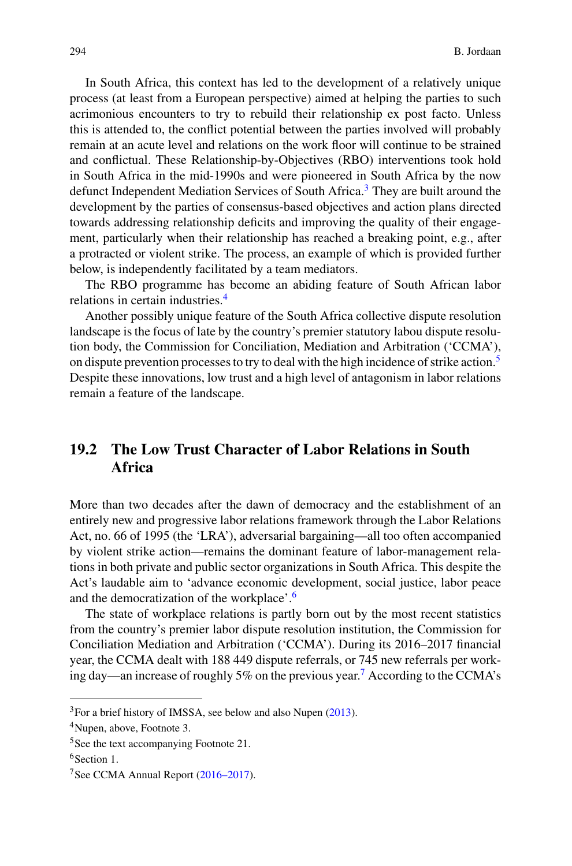In South Africa, this context has led to the development of a relatively unique process (at least from a European perspective) aimed at helping the parties to such acrimonious encounters to try to rebuild their relationship ex post facto. Unless this is attended to, the conflict potential between the parties involved will probably remain at an acute level and relations on the work floor will continue to be strained and conflictual. These Relationship-by-Objectives (RBO) interventions took hold in South Africa in the mid-1990s and were pioneered in South Africa by the now defunct Independent Mediation Services of South Africa[.3](#page-1-0) They are built around the development by the parties of consensus-based objectives and action plans directed towards addressing relationship deficits and improving the quality of their engagement, particularly when their relationship has reached a breaking point, e.g., after a protracted or violent strike. The process, an example of which is provided further below, is independently facilitated by a team mediators.

The RBO programme has become an abiding feature of South African labor relations in certain industries[.4](#page-1-1)

Another possibly unique feature of the South Africa collective dispute resolution landscape is the focus of late by the country's premier statutory labou dispute resolution body, the Commission for Conciliation, Mediation and Arbitration ('CCMA'), on dispute prevention processes to try to deal with the high incidence of strike action.<sup>5</sup> Despite these innovations, low trust and a high level of antagonism in labor relations remain a feature of the landscape.

# **19.2 The Low Trust Character of Labor Relations in South Africa**

More than two decades after the dawn of democracy and the establishment of an entirely new and progressive labor relations framework through the Labor Relations Act, no. 66 of 1995 (the 'LRA'), adversarial bargaining—all too often accompanied by violent strike action—remains the dominant feature of labor-management relations in both private and public sector organizations in South Africa. This despite the Act's laudable aim to 'advance economic development, social justice, labor peace and the democratization of the workplace'.[6](#page-1-3)

The state of workplace relations is partly born out by the most recent statistics from the country's premier labor dispute resolution institution, the Commission for Conciliation Mediation and Arbitration ('CCMA'). During its 2016–2017 financial year, the CCMA dealt with 188 449 dispute referrals, or 745 new referrals per working day—an increase of roughly 5% on the previous year.<sup>7</sup> According to the CCMA's

<span id="page-1-0"></span> $3$ For a brief history of IMSSA, see below and also Nupen [\(2013\)](#page-15-0).

<span id="page-1-1"></span><sup>4</sup>Nupen, above, Footnote 3.

<span id="page-1-2"></span><sup>&</sup>lt;sup>5</sup>See the text accompanying Footnote 21.

<span id="page-1-3"></span><sup>&</sup>lt;sup>6</sup>Section 1.

<span id="page-1-4"></span><sup>&</sup>lt;sup>7</sup>See CCMA Annual Report  $(2016-2017)$ .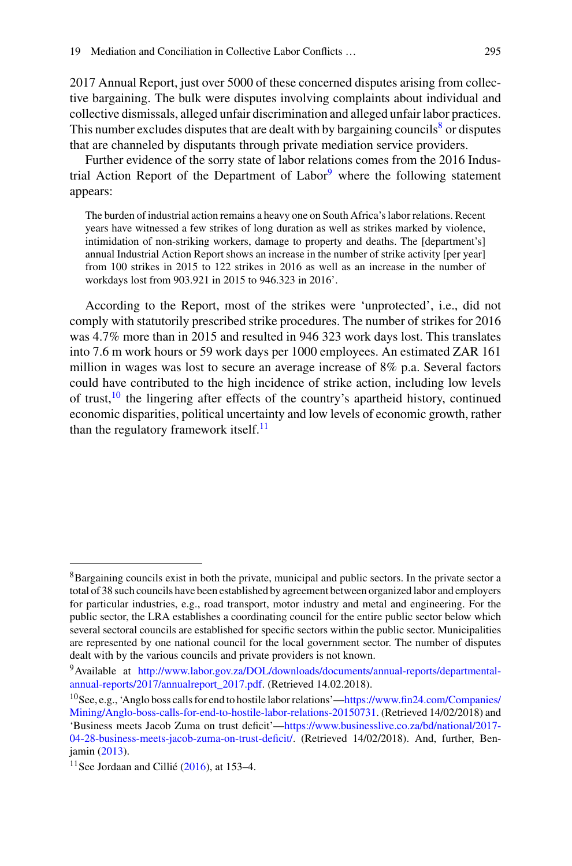2017 Annual Report, just over 5000 of these concerned disputes arising from collective bargaining. The bulk were disputes involving complaints about individual and collective dismissals, alleged unfair discrimination and alleged unfair labor practices. This number excludes disputes that are dealt with by bargaining councils<sup>8</sup> or disputes that are channeled by disputants through private mediation service providers.

Further evidence of the sorry state of labor relations comes from the 2016 Industrial Action Report of the Department of Labor<sup>9</sup> where the following statement appears:

The burden of industrial action remains a heavy one on South Africa's labor relations. Recent years have witnessed a few strikes of long duration as well as strikes marked by violence, intimidation of non-striking workers, damage to property and deaths. The [department's] annual Industrial Action Report shows an increase in the number of strike activity [per year] from 100 strikes in 2015 to 122 strikes in 2016 as well as an increase in the number of workdays lost from 903.921 in 2015 to 946.323 in 2016'.

According to the Report, most of the strikes were 'unprotected', i.e., did not comply with statutorily prescribed strike procedures. The number of strikes for 2016 was 4.7% more than in 2015 and resulted in 946 323 work days lost. This translates into 7.6 m work hours or 59 work days per 1000 employees. An estimated ZAR 161 million in wages was lost to secure an average increase of 8% p.a. Several factors could have contributed to the high incidence of strike action, including low levels of trust, $10$  the lingering after effects of the country's apartheid history, continued economic disparities, political uncertainty and low levels of economic growth, rather than the regulatory framework itself.<sup>11</sup>

<span id="page-2-0"></span><sup>&</sup>lt;sup>8</sup>Bargaining councils exist in both the private, municipal and public sectors. In the private sector a total of 38 such councils have been established by agreement between organized labor and employers for particular industries, e.g., road transport, motor industry and metal and engineering. For the public sector, the LRA establishes a coordinating council for the entire public sector below which several sectoral councils are established for specific sectors within the public sector. Municipalities are represented by one national council for the local government sector. The number of disputes dealt with by the various councils and private providers is not known.

<span id="page-2-1"></span><sup>9</sup>Available at [http://www.labor.gov.za/DOL/downloads/documents/annual-reports/departmental](http://www.labor.gov.za/DOL/downloads/documents/annual-reports/departmental-annual-reports/2017/annualreport_2017.pdf)annual-reports/2017/annualreport\_2017.pdf. (Retrieved 14.02.2018).

<span id="page-2-2"></span>[<sup>10</sup>See, e.g., 'Anglo boss calls for end to hostile labor relations'—https://www.fin24.com/Companies/](https://www.fin24.com/Companies/Mining/Anglo-boss-calls-for-end-to-hostile-labor-relations-20150731) Mining/Anglo-boss-calls-for-end-to-hostile-labor-relations-20150731. (Retrieved 14/02/2018) and 'Business meets Jacob Zuma on trust deficit'—https://www.businesslive.co.za/bd/national/2017- [04-28-business-meets-jacob-zuma-on-trust-deficit/. \(Retrieved 14/02/2018\). And, further, Ben](https://www.businesslive.co.za/bd/national/2017-04-28-business-meets-jacob-zuma-on-trust-deficit/)jamin [\(2013\)](#page-14-2).

<span id="page-2-3"></span><sup>&</sup>lt;sup>11</sup>See Jordaan and Cillié ( $2016$ ), at 153–4.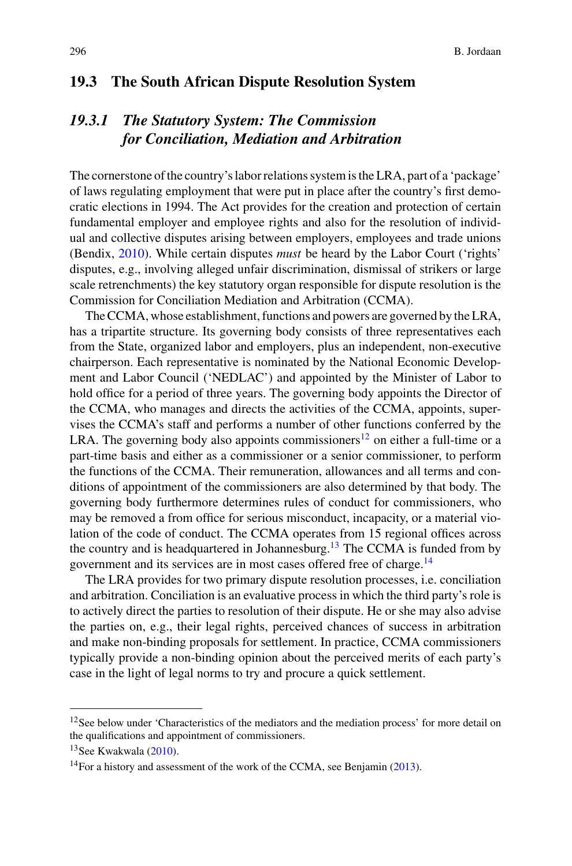### **19.3 The South African Dispute Resolution System**

# *19.3.1 The Statutory System: The Commission for Conciliation, Mediation and Arbitration*

The cornerstone of the country's labor relations system is the LRA, part of a 'package' of laws regulating employment that were put in place after the country's first democratic elections in 1994. The Act provides for the creation and protection of certain fundamental employer and employee rights and also for the resolution of individual and collective disputes arising between employers, employees and trade unions (Bendix, [2010\)](#page-14-3). While certain disputes *must* be heard by the Labor Court ('rights' disputes, e.g., involving alleged unfair discrimination, dismissal of strikers or large scale retrenchments) the key statutory organ responsible for dispute resolution is the Commission for Conciliation Mediation and Arbitration (CCMA).

The CCMA, whose establishment, functions and powers are governed by the LRA, has a tripartite structure. Its governing body consists of three representatives each from the State, organized labor and employers, plus an independent, non-executive chairperson. Each representative is nominated by the National Economic Development and Labor Council ('NEDLAC') and appointed by the Minister of Labor to hold office for a period of three years. The governing body appoints the Director of the CCMA, who manages and directs the activities of the CCMA, appoints, supervises the CCMA's staff and performs a number of other functions conferred by the LRA. The governing body also appoints commissioners<sup>[12](#page-3-0)</sup> on either a full-time or a part-time basis and either as a commissioner or a senior commissioner, to perform the functions of the CCMA. Their remuneration, allowances and all terms and conditions of appointment of the commissioners are also determined by that body. The governing body furthermore determines rules of conduct for commissioners, who may be removed a from office for serious misconduct, incapacity, or a material violation of the code of conduct. The CCMA operates from 15 regional offices across the country and is headquartered in Johannesburg.<sup>13</sup> The CCMA is funded from by government and its services are in most cases offered free of charge.<sup>[14](#page-3-2)</sup>

The LRA provides for two primary dispute resolution processes, i.e. conciliation and arbitration. Conciliation is an evaluative process in which the third party's role is to actively direct the parties to resolution of their dispute. He or she may also advise the parties on, e.g., their legal rights, perceived chances of success in arbitration and make non-binding proposals for settlement. In practice, CCMA commissioners typically provide a non-binding opinion about the perceived merits of each party's case in the light of legal norms to try and procure a quick settlement.

<span id="page-3-0"></span><sup>&</sup>lt;sup>12</sup>See below under 'Characteristics of the mediators and the mediation process' for more detail on the qualifications and appointment of commissioners.

<span id="page-3-1"></span><sup>&</sup>lt;sup>13</sup>See Kwakwala [\(2010\)](#page-15-2).

<span id="page-3-2"></span><sup>&</sup>lt;sup>14</sup>For a history and assessment of the work of the CCMA, see Benjamin [\(2013\)](#page-14-2).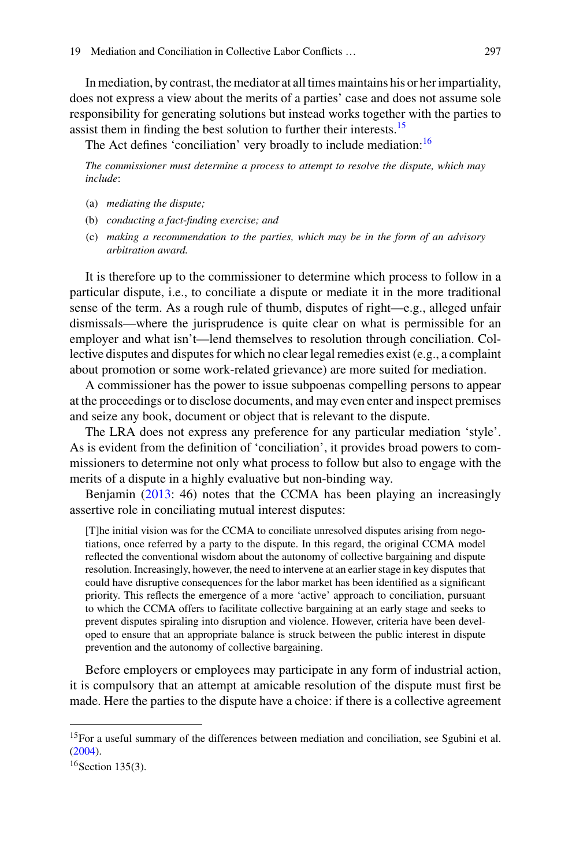In mediation, by contrast, the mediator at all times maintains his or her impartiality, does not express a view about the merits of a parties' case and does not assume sole responsibility for generating solutions but instead works together with the parties to assist them in finding the best solution to further their interests.<sup>[15](#page-4-0)</sup>

The Act defines 'conciliation' very broadly to include mediation:<sup>16</sup>

*The commissioner must determine a process to attempt to resolve the dispute, which may include*:

- (a) *mediating the dispute;*
- (b) *conducting a fact*-*finding exercise; and*
- (c) *making a recommendation to the parties, which may be in the form of an advisory arbitration award.*

It is therefore up to the commissioner to determine which process to follow in a particular dispute, i.e., to conciliate a dispute or mediate it in the more traditional sense of the term. As a rough rule of thumb, disputes of right—e.g., alleged unfair dismissals—where the jurisprudence is quite clear on what is permissible for an employer and what isn't—lend themselves to resolution through conciliation. Collective disputes and disputes for which no clear legal remedies exist (e.g., a complaint about promotion or some work-related grievance) are more suited for mediation.

A commissioner has the power to issue subpoenas compelling persons to appear at the proceedings or to disclose documents, and may even enter and inspect premises and seize any book, document or object that is relevant to the dispute.

The LRA does not express any preference for any particular mediation 'style'. As is evident from the definition of 'conciliation', it provides broad powers to commissioners to determine not only what process to follow but also to engage with the merits of a dispute in a highly evaluative but non-binding way.

Benjamin [\(2013:](#page-14-2) 46) notes that the CCMA has been playing an increasingly assertive role in conciliating mutual interest disputes:

[T]he initial vision was for the CCMA to conciliate unresolved disputes arising from negotiations, once referred by a party to the dispute. In this regard, the original CCMA model reflected the conventional wisdom about the autonomy of collective bargaining and dispute resolution. Increasingly, however, the need to intervene at an earlier stage in key disputes that could have disruptive consequences for the labor market has been identified as a significant priority. This reflects the emergence of a more 'active' approach to conciliation, pursuant to which the CCMA offers to facilitate collective bargaining at an early stage and seeks to prevent disputes spiraling into disruption and violence. However, criteria have been developed to ensure that an appropriate balance is struck between the public interest in dispute prevention and the autonomy of collective bargaining.

Before employers or employees may participate in any form of industrial action, it is compulsory that an attempt at amicable resolution of the dispute must first be made. Here the parties to the dispute have a choice: if there is a collective agreement

<span id="page-4-0"></span><sup>&</sup>lt;sup>15</sup>For a useful summary of the differences between mediation and conciliation, see Sgubini et al. [\(2004\)](#page-15-3).

<span id="page-4-1"></span> $16$ Section 135(3).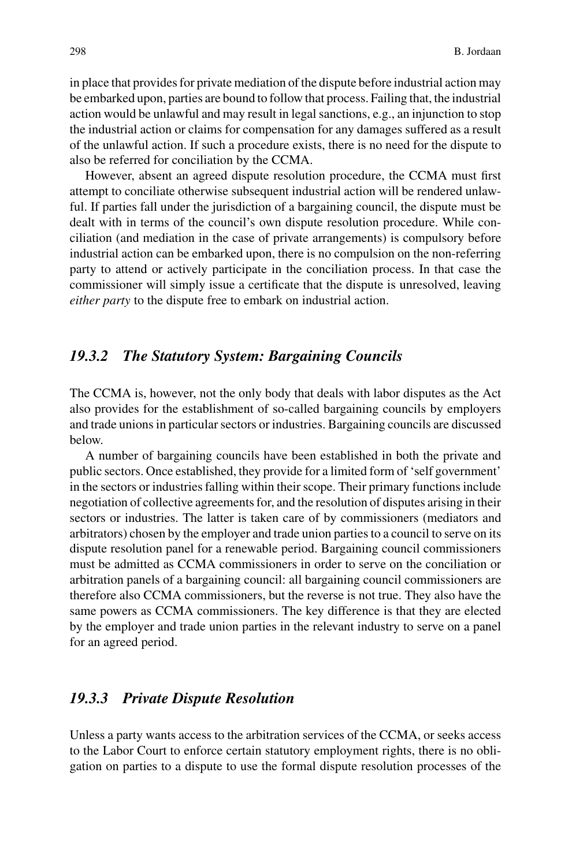in place that provides for private mediation of the dispute before industrial action may be embarked upon, parties are bound to follow that process. Failing that, the industrial action would be unlawful and may result in legal sanctions, e.g., an injunction to stop the industrial action or claims for compensation for any damages suffered as a result of the unlawful action. If such a procedure exists, there is no need for the dispute to also be referred for conciliation by the CCMA.

However, absent an agreed dispute resolution procedure, the CCMA must first attempt to conciliate otherwise subsequent industrial action will be rendered unlawful. If parties fall under the jurisdiction of a bargaining council, the dispute must be dealt with in terms of the council's own dispute resolution procedure. While conciliation (and mediation in the case of private arrangements) is compulsory before industrial action can be embarked upon, there is no compulsion on the non-referring party to attend or actively participate in the conciliation process. In that case the commissioner will simply issue a certificate that the dispute is unresolved, leaving *either party* to the dispute free to embark on industrial action.

### *19.3.2 The Statutory System: Bargaining Councils*

The CCMA is, however, not the only body that deals with labor disputes as the Act also provides for the establishment of so-called bargaining councils by employers and trade unions in particular sectors or industries. Bargaining councils are discussed below.

A number of bargaining councils have been established in both the private and public sectors. Once established, they provide for a limited form of 'self government' in the sectors or industries falling within their scope. Their primary functions include negotiation of collective agreements for, and the resolution of disputes arising in their sectors or industries. The latter is taken care of by commissioners (mediators and arbitrators) chosen by the employer and trade union parties to a council to serve on its dispute resolution panel for a renewable period. Bargaining council commissioners must be admitted as CCMA commissioners in order to serve on the conciliation or arbitration panels of a bargaining council: all bargaining council commissioners are therefore also CCMA commissioners, but the reverse is not true. They also have the same powers as CCMA commissioners. The key difference is that they are elected by the employer and trade union parties in the relevant industry to serve on a panel for an agreed period.

### *19.3.3 Private Dispute Resolution*

Unless a party wants access to the arbitration services of the CCMA, or seeks access to the Labor Court to enforce certain statutory employment rights, there is no obligation on parties to a dispute to use the formal dispute resolution processes of the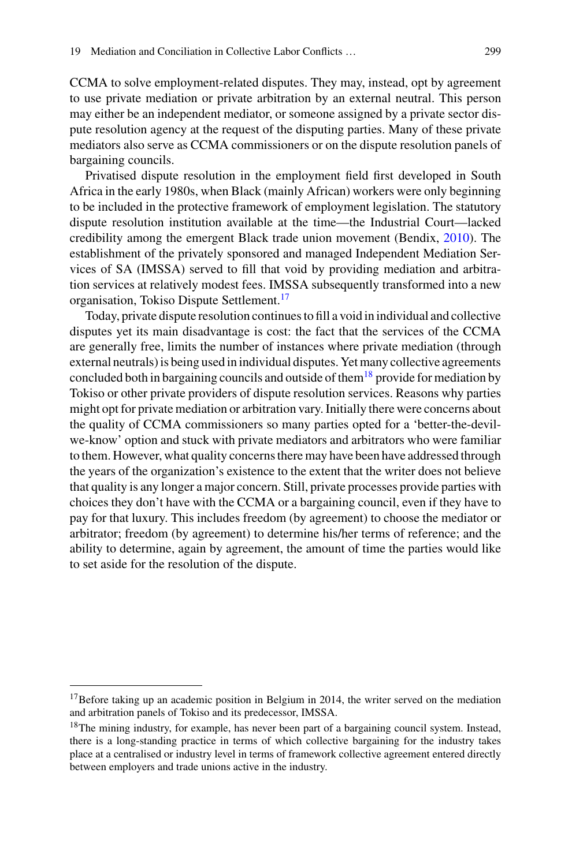CCMA to solve employment-related disputes. They may, instead, opt by agreement to use private mediation or private arbitration by an external neutral. This person may either be an independent mediator, or someone assigned by a private sector dispute resolution agency at the request of the disputing parties. Many of these private mediators also serve as CCMA commissioners or on the dispute resolution panels of bargaining councils.

Privatised dispute resolution in the employment field first developed in South Africa in the early 1980s, when Black (mainly African) workers were only beginning to be included in the protective framework of employment legislation. The statutory dispute resolution institution available at the time—the Industrial Court—lacked credibility among the emergent Black trade union movement (Bendix, [2010\)](#page-14-3). The establishment of the privately sponsored and managed Independent Mediation Services of SA (IMSSA) served to fill that void by providing mediation and arbitration services at relatively modest fees. IMSSA subsequently transformed into a new organisation, Tokiso Dispute Settlement.<sup>17</sup>

Today, private dispute resolution continues to fill a void in individual and collective disputes yet its main disadvantage is cost: the fact that the services of the CCMA are generally free, limits the number of instances where private mediation (through external neutrals) is being used in individual disputes. Yet many collective agreements concluded both in bargaining councils and outside of them<sup>18</sup> provide for mediation by Tokiso or other private providers of dispute resolution services. Reasons why parties might opt for private mediation or arbitration vary. Initially there were concerns about the quality of CCMA commissioners so many parties opted for a 'better-the-devilwe-know' option and stuck with private mediators and arbitrators who were familiar to them. However, what quality concerns there may have been have addressed through the years of the organization's existence to the extent that the writer does not believe that quality is any longer a major concern. Still, private processes provide parties with choices they don't have with the CCMA or a bargaining council, even if they have to pay for that luxury. This includes freedom (by agreement) to choose the mediator or arbitrator; freedom (by agreement) to determine his/her terms of reference; and the ability to determine, again by agreement, the amount of time the parties would like to set aside for the resolution of the dispute.

<span id="page-6-0"></span> $17$ Before taking up an academic position in Belgium in 2014, the writer served on the mediation and arbitration panels of Tokiso and its predecessor, IMSSA.

<span id="page-6-1"></span><sup>&</sup>lt;sup>18</sup>The mining industry, for example, has never been part of a bargaining council system. Instead, there is a long-standing practice in terms of which collective bargaining for the industry takes place at a centralised or industry level in terms of framework collective agreement entered directly between employers and trade unions active in the industry.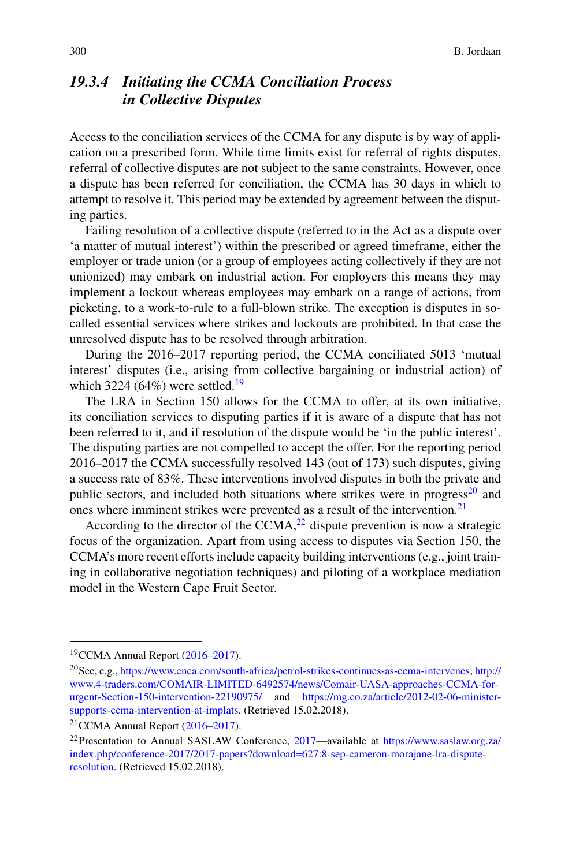# *19.3.4 Initiating the CCMA Conciliation Process in Collective Disputes*

Access to the conciliation services of the CCMA for any dispute is by way of application on a prescribed form. While time limits exist for referral of rights disputes, referral of collective disputes are not subject to the same constraints. However, once a dispute has been referred for conciliation, the CCMA has 30 days in which to attempt to resolve it. This period may be extended by agreement between the disputing parties.

Failing resolution of a collective dispute (referred to in the Act as a dispute over 'a matter of mutual interest') within the prescribed or agreed timeframe, either the employer or trade union (or a group of employees acting collectively if they are not unionized) may embark on industrial action. For employers this means they may implement a lockout whereas employees may embark on a range of actions, from picketing, to a work-to-rule to a full-blown strike. The exception is disputes in socalled essential services where strikes and lockouts are prohibited. In that case the unresolved dispute has to be resolved through arbitration.

During the 2016–2017 reporting period, the CCMA conciliated 5013 'mutual interest' disputes (i.e., arising from collective bargaining or industrial action) of which 3224  $(64%)$  were settled.<sup>[19](#page-7-0)</sup>

The LRA in Section 150 allows for the CCMA to offer, at its own initiative, its conciliation services to disputing parties if it is aware of a dispute that has not been referred to it, and if resolution of the dispute would be 'in the public interest'. The disputing parties are not compelled to accept the offer. For the reporting period 2016–2017 the CCMA successfully resolved 143 (out of 173) such disputes, giving a success rate of 83%. These interventions involved disputes in both the private and public sectors, and included both situations where strikes were in progress<sup>20</sup> and ones where imminent strikes were prevented as a result of the intervention.<sup>21</sup>

According to the director of the CCMA, $^{22}$  $^{22}$  $^{22}$  dispute prevention is now a strategic focus of the organization. Apart from using access to disputes via Section 150, the CCMA's more recent efforts include capacity building interventions (e.g., joint training in collaborative negotiation techniques) and piloting of a workplace mediation model in the Western Cape Fruit Sector.

<span id="page-7-0"></span><sup>19</sup>CCMA Annual Report [\(2016–2017\)](#page-14-1).

<span id="page-7-1"></span><sup>20</sup>See, e.g., [https://www.enca.com/south-africa/petrol-strikes-continues-as-ccma-intervenes;](https://www.enca.com/south-africa/petrol-strikes-continues-as-ccma-intervenes) http:// [www.4-traders.com/COMAIR-LIMITED-6492574/news/Comair-UASA-approaches-CCMA-for](http://www.4-traders.com/COMAIR-LIMITED-6492574/news/Comair-UASA-approaches-CCMA-for-urgent-Section-150-intervention-22190975/)urgent-Section-150-intervention-22190975/ and https://mg.co.za/article/2012-02-06-minister[supports-ccma-intervention-at-implats. \(Retrieved 15.02.2018\).](https://mg.co.za/article/2012-02-06-minister-supports-ccma-intervention-at-implats)

<span id="page-7-2"></span> $21$ CCMA Annual Report [\(2016–2017\)](#page-14-1).

<span id="page-7-3"></span><sup>22</sup>Presentation to Annual SASLAW Conference, [2017—](#page-15-4)available at https://www.saslaw.org.za/ [index.php/conference-2017/2017-papers?download=627:8-sep-cameron-morajane-lra-dispute](https://www.saslaw.org.za/index.php/conference-2017/2017-papers%3fdownload%3d627:8-sep-cameron-morajane-lra-dispute-resolution)resolution. (Retrieved 15.02.2018).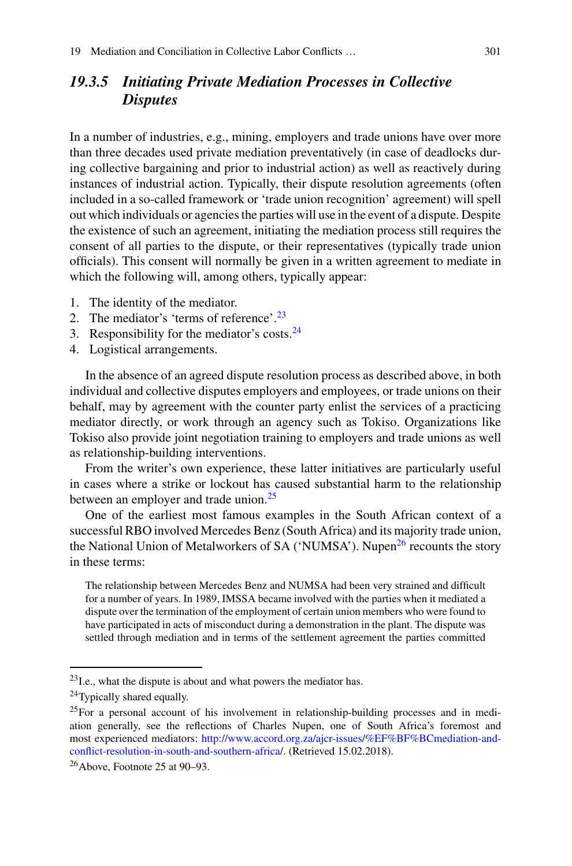# *19.3.5 Initiating Private Mediation Processes in Collective Disputes*

In a number of industries, e.g., mining, employers and trade unions have over more than three decades used private mediation preventatively (in case of deadlocks during collective bargaining and prior to industrial action) as well as reactively during instances of industrial action. Typically, their dispute resolution agreements (often included in a so-called framework or 'trade union recognition' agreement) will spell out which individuals or agencies the parties will use in the event of a dispute. Despite the existence of such an agreement, initiating the mediation process still requires the consent of all parties to the dispute, or their representatives (typically trade union officials). This consent will normally be given in a written agreement to mediate in which the following will, among others, typically appear:

- 1. The identity of the mediator.
- 2. The mediator's 'terms of reference'.<sup>23</sup>
- 3. Responsibility for the mediator's costs. $^{24}$  $^{24}$  $^{24}$
- 4. Logistical arrangements.

In the absence of an agreed dispute resolution process as described above, in both individual and collective disputes employers and employees, or trade unions on their behalf, may by agreement with the counter party enlist the services of a practicing mediator directly, or work through an agency such as Tokiso. Organizations like Tokiso also provide joint negotiation training to employers and trade unions as well as relationship-building interventions.

From the writer's own experience, these latter initiatives are particularly useful in cases where a strike or lockout has caused substantial harm to the relationship between an employer and trade union. $25$ 

One of the earliest most famous examples in the South African context of a successful RBO involved Mercedes Benz (South Africa) and its majority trade union, the National Union of Metalworkers of SA ('NUMSA'). Nupen<sup>26</sup> recounts the story in these terms:

The relationship between Mercedes Benz and NUMSA had been very strained and difficult for a number of years. In 1989, IMSSA became involved with the parties when it mediated a dispute over the termination of the employment of certain union members who were found to have participated in acts of misconduct during a demonstration in the plant. The dispute was settled through mediation and in terms of the settlement agreement the parties committed

<span id="page-8-0"></span><sup>23</sup>I.e., what the dispute is about and what powers the mediator has.

<span id="page-8-1"></span> $24$ Typically shared equally.

<span id="page-8-2"></span><sup>25</sup>For a personal account of his involvement in relationship-building processes and in mediation generally, see the reflections of Charles Nupen, one of South Africa's foremost and most experienced mediators: http://www.accord.org.za/ajcr-issues/%EF%BF%BCmediation-and[conflict-resolution-in-south-and-southern-africa/. \(Retrieved 15.02.2018\).](http://www.accord.org.za/ajcr-issues/%25EF%25BF%25BCmediation-and-conflict-resolution-in-south-and-southern-africa/)

<span id="page-8-3"></span> $26$ Above, Footnote 25 at 90–93.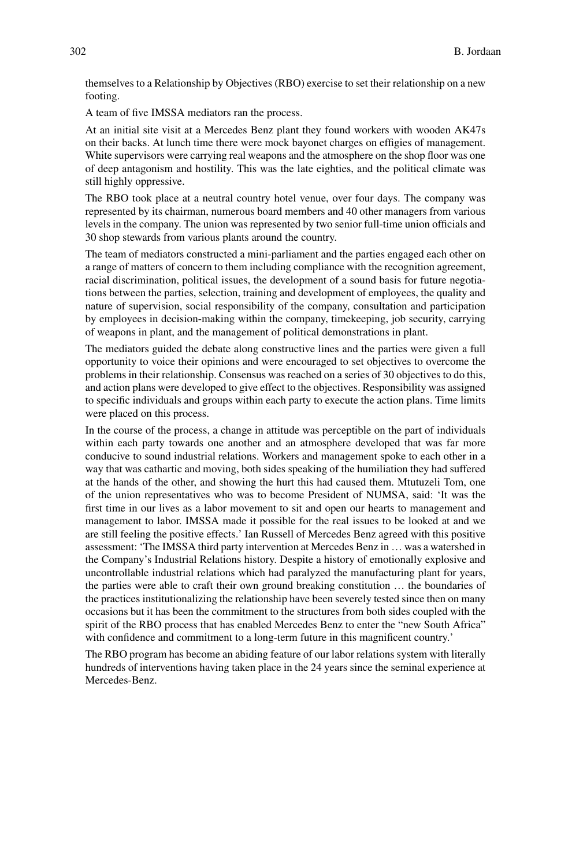themselves to a Relationship by Objectives (RBO) exercise to set their relationship on a new footing.

A team of five IMSSA mediators ran the process.

At an initial site visit at a Mercedes Benz plant they found workers with wooden AK47s on their backs. At lunch time there were mock bayonet charges on effigies of management. White supervisors were carrying real weapons and the atmosphere on the shop floor was one of deep antagonism and hostility. This was the late eighties, and the political climate was still highly oppressive.

The RBO took place at a neutral country hotel venue, over four days. The company was represented by its chairman, numerous board members and 40 other managers from various levels in the company. The union was represented by two senior full-time union officials and 30 shop stewards from various plants around the country.

The team of mediators constructed a mini-parliament and the parties engaged each other on a range of matters of concern to them including compliance with the recognition agreement, racial discrimination, political issues, the development of a sound basis for future negotiations between the parties, selection, training and development of employees, the quality and nature of supervision, social responsibility of the company, consultation and participation by employees in decision-making within the company, timekeeping, job security, carrying of weapons in plant, and the management of political demonstrations in plant.

The mediators guided the debate along constructive lines and the parties were given a full opportunity to voice their opinions and were encouraged to set objectives to overcome the problems in their relationship. Consensus was reached on a series of 30 objectives to do this, and action plans were developed to give effect to the objectives. Responsibility was assigned to specific individuals and groups within each party to execute the action plans. Time limits were placed on this process.

In the course of the process, a change in attitude was perceptible on the part of individuals within each party towards one another and an atmosphere developed that was far more conducive to sound industrial relations. Workers and management spoke to each other in a way that was cathartic and moving, both sides speaking of the humiliation they had suffered at the hands of the other, and showing the hurt this had caused them. Mtutuzeli Tom, one of the union representatives who was to become President of NUMSA, said: 'It was the first time in our lives as a labor movement to sit and open our hearts to management and management to labor. IMSSA made it possible for the real issues to be looked at and we are still feeling the positive effects.' Ian Russell of Mercedes Benz agreed with this positive assessment: 'The IMSSA third party intervention at Mercedes Benz in … was a watershed in the Company's Industrial Relations history. Despite a history of emotionally explosive and uncontrollable industrial relations which had paralyzed the manufacturing plant for years, the parties were able to craft their own ground breaking constitution … the boundaries of the practices institutionalizing the relationship have been severely tested since then on many occasions but it has been the commitment to the structures from both sides coupled with the spirit of the RBO process that has enabled Mercedes Benz to enter the "new South Africa" with confidence and commitment to a long-term future in this magnificent country.'

The RBO program has become an abiding feature of our labor relations system with literally hundreds of interventions having taken place in the 24 years since the seminal experience at Mercedes-Benz.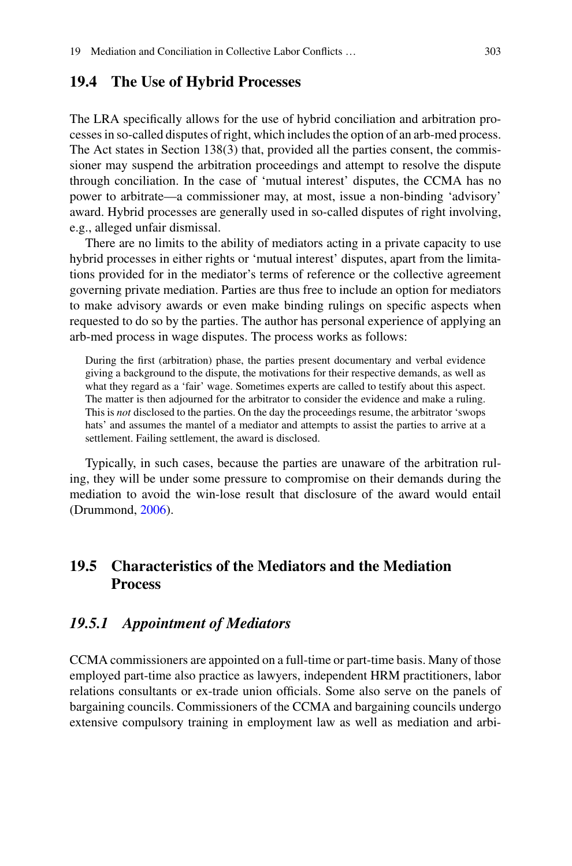#### **19.4 The Use of Hybrid Processes**

The LRA specifically allows for the use of hybrid conciliation and arbitration processes in so-called disputes of right, which includes the option of an arb-med process. The Act states in Section 138(3) that, provided all the parties consent, the commissioner may suspend the arbitration proceedings and attempt to resolve the dispute through conciliation. In the case of 'mutual interest' disputes, the CCMA has no power to arbitrate—a commissioner may, at most, issue a non-binding 'advisory' award. Hybrid processes are generally used in so-called disputes of right involving, e.g., alleged unfair dismissal.

There are no limits to the ability of mediators acting in a private capacity to use hybrid processes in either rights or 'mutual interest' disputes, apart from the limitations provided for in the mediator's terms of reference or the collective agreement governing private mediation. Parties are thus free to include an option for mediators to make advisory awards or even make binding rulings on specific aspects when requested to do so by the parties. The author has personal experience of applying an arb-med process in wage disputes. The process works as follows:

During the first (arbitration) phase, the parties present documentary and verbal evidence giving a background to the dispute, the motivations for their respective demands, as well as what they regard as a 'fair' wage. Sometimes experts are called to testify about this aspect. The matter is then adjourned for the arbitrator to consider the evidence and make a ruling. This is *not* disclosed to the parties. On the day the proceedings resume, the arbitrator 'swops hats' and assumes the mantel of a mediator and attempts to assist the parties to arrive at a settlement. Failing settlement, the award is disclosed.

Typically, in such cases, because the parties are unaware of the arbitration ruling, they will be under some pressure to compromise on their demands during the mediation to avoid the win-lose result that disclosure of the award would entail (Drummond, [2006\)](#page-14-4).

# **19.5 Characteristics of the Mediators and the Mediation Process**

#### *19.5.1 Appointment of Mediators*

CCMA commissioners are appointed on a full-time or part-time basis. Many of those employed part-time also practice as lawyers, independent HRM practitioners, labor relations consultants or ex-trade union officials. Some also serve on the panels of bargaining councils. Commissioners of the CCMA and bargaining councils undergo extensive compulsory training in employment law as well as mediation and arbi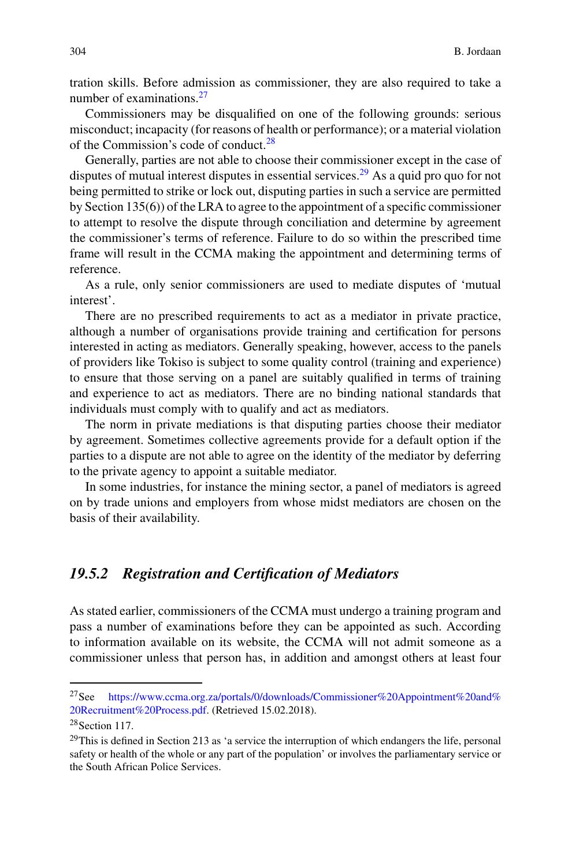tration skills. Before admission as commissioner, they are also required to take a number of examinations.<sup>27</sup>

Commissioners may be disqualified on one of the following grounds: serious misconduct; incapacity (for reasons of health or performance); or a material violation of the Commission's code of conduct[.28](#page-11-1)

Generally, parties are not able to choose their commissioner except in the case of disputes of mutual interest disputes in essential services.<sup>29</sup> As a quid pro quo for not being permitted to strike or lock out, disputing parties in such a service are permitted by Section 135(6)) of the LRA to agree to the appointment of a specific commissioner to attempt to resolve the dispute through conciliation and determine by agreement the commissioner's terms of reference. Failure to do so within the prescribed time frame will result in the CCMA making the appointment and determining terms of reference.

As a rule, only senior commissioners are used to mediate disputes of 'mutual interest'.

There are no prescribed requirements to act as a mediator in private practice, although a number of organisations provide training and certification for persons interested in acting as mediators. Generally speaking, however, access to the panels of providers like Tokiso is subject to some quality control (training and experience) to ensure that those serving on a panel are suitably qualified in terms of training and experience to act as mediators. There are no binding national standards that individuals must comply with to qualify and act as mediators.

The norm in private mediations is that disputing parties choose their mediator by agreement. Sometimes collective agreements provide for a default option if the parties to a dispute are not able to agree on the identity of the mediator by deferring to the private agency to appoint a suitable mediator.

In some industries, for instance the mining sector, a panel of mediators is agreed on by trade unions and employers from whose midst mediators are chosen on the basis of their availability.

### *19.5.2 Registration and Certification of Mediators*

As stated earlier, commissioners of the CCMA must undergo a training program and pass a number of examinations before they can be appointed as such. According to information available on its website, the CCMA will not admit someone as a commissioner unless that person has, in addition and amongst others at least four

<span id="page-11-0"></span><sup>27</sup>See [https://www.ccma.org.za/portals/0/downloads/Commissioner%20Appointment%20and%](https://www.ccma.org.za/portals/0/downloads/Commissioner%20Appointment%20and%20Recruitment%20Process.pdf) 20Recruitment%20Process.pdf. (Retrieved 15.02.2018).

<span id="page-11-1"></span><sup>28</sup>Section 117.

<span id="page-11-2"></span><sup>&</sup>lt;sup>29</sup>This is defined in Section 213 as 'a service the interruption of which endangers the life, personal safety or health of the whole or any part of the population' or involves the parliamentary service or the South African Police Services.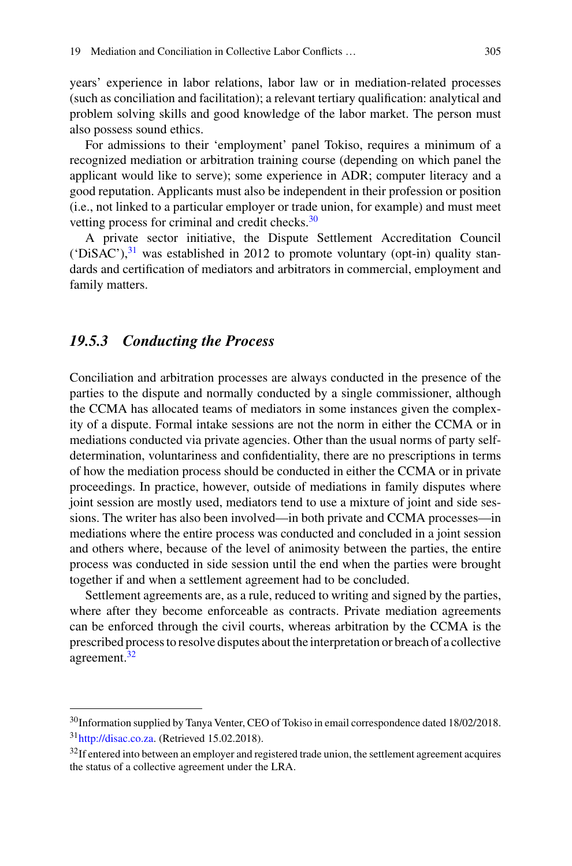years' experience in labor relations, labor law or in mediation-related processes (such as conciliation and facilitation); a relevant tertiary qualification: analytical and problem solving skills and good knowledge of the labor market. The person must also possess sound ethics.

For admissions to their 'employment' panel Tokiso, requires a minimum of a recognized mediation or arbitration training course (depending on which panel the applicant would like to serve); some experience in ADR; computer literacy and a good reputation. Applicants must also be independent in their profession or position (i.e., not linked to a particular employer or trade union, for example) and must meet vetting process for criminal and credit checks. $30$ 

A private sector initiative, the Dispute Settlement Accreditation Council ('DiSAC'), $31$  was established in 2012 to promote voluntary (opt-in) quality standards and certification of mediators and arbitrators in commercial, employment and family matters.

#### *19.5.3 Conducting the Process*

Conciliation and arbitration processes are always conducted in the presence of the parties to the dispute and normally conducted by a single commissioner, although the CCMA has allocated teams of mediators in some instances given the complexity of a dispute. Formal intake sessions are not the norm in either the CCMA or in mediations conducted via private agencies. Other than the usual norms of party selfdetermination, voluntariness and confidentiality, there are no prescriptions in terms of how the mediation process should be conducted in either the CCMA or in private proceedings. In practice, however, outside of mediations in family disputes where joint session are mostly used, mediators tend to use a mixture of joint and side sessions. The writer has also been involved—in both private and CCMA processes—in mediations where the entire process was conducted and concluded in a joint session and others where, because of the level of animosity between the parties, the entire process was conducted in side session until the end when the parties were brought together if and when a settlement agreement had to be concluded.

Settlement agreements are, as a rule, reduced to writing and signed by the parties, where after they become enforceable as contracts. Private mediation agreements can be enforced through the civil courts, whereas arbitration by the CCMA is the prescribed process to resolve disputes about the interpretation or breach of a collective agreement.<sup>32</sup>

<span id="page-12-1"></span><span id="page-12-0"></span><sup>30</sup>Information supplied by Tanya Venter, CEO of Tokiso in email correspondence dated 18/02/2018. 3[1http://disac.co.za.](http://disac.co.za) (Retrieved 15.02.2018).

<span id="page-12-2"></span> $32$ If entered into between an employer and registered trade union, the settlement agreement acquires the status of a collective agreement under the LRA.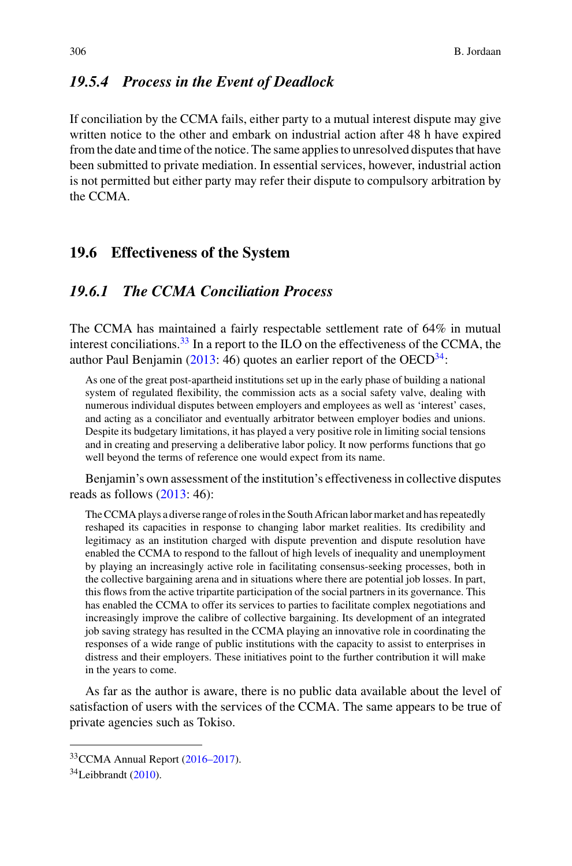### *19.5.4 Process in the Event of Deadlock*

If conciliation by the CCMA fails, either party to a mutual interest dispute may give written notice to the other and embark on industrial action after 48 h have expired from the date and time of the notice. The same applies to unresolved disputes that have been submitted to private mediation. In essential services, however, industrial action is not permitted but either party may refer their dispute to compulsory arbitration by the CCMA.

### **19.6 Effectiveness of the System**

## *19.6.1 The CCMA Conciliation Process*

The CCMA has maintained a fairly respectable settlement rate of 64% in mutual interest conciliations.[33](#page-13-0) In a report to the ILO on the effectiveness of the CCMA, the author Paul Benjamin [\(2013:](#page-14-2) 46) quotes an earlier report of the  $OECD^{34}$ :

As one of the great post-apartheid institutions set up in the early phase of building a national system of regulated flexibility, the commission acts as a social safety valve, dealing with numerous individual disputes between employers and employees as well as 'interest' cases, and acting as a conciliator and eventually arbitrator between employer bodies and unions. Despite its budgetary limitations, it has played a very positive role in limiting social tensions and in creating and preserving a deliberative labor policy. It now performs functions that go well beyond the terms of reference one would expect from its name.

Benjamin's own assessment of the institution's effectiveness in collective disputes reads as follows [\(2013:](#page-14-2) 46):

The CCMA plays a diverse range of roles in the South African labor market and has repeatedly reshaped its capacities in response to changing labor market realities. Its credibility and legitimacy as an institution charged with dispute prevention and dispute resolution have enabled the CCMA to respond to the fallout of high levels of inequality and unemployment by playing an increasingly active role in facilitating consensus-seeking processes, both in the collective bargaining arena and in situations where there are potential job losses. In part, this flows from the active tripartite participation of the social partners in its governance. This has enabled the CCMA to offer its services to parties to facilitate complex negotiations and increasingly improve the calibre of collective bargaining. Its development of an integrated job saving strategy has resulted in the CCMA playing an innovative role in coordinating the responses of a wide range of public institutions with the capacity to assist to enterprises in distress and their employers. These initiatives point to the further contribution it will make in the years to come.

As far as the author is aware, there is no public data available about the level of satisfaction of users with the services of the CCMA. The same appears to be true of private agencies such as Tokiso.

<span id="page-13-0"></span><sup>33</sup>CCMA Annual Report [\(2016–2017\)](#page-14-1).

<span id="page-13-1"></span> $34$ Leibbrandt [\(2010\)](#page-15-5).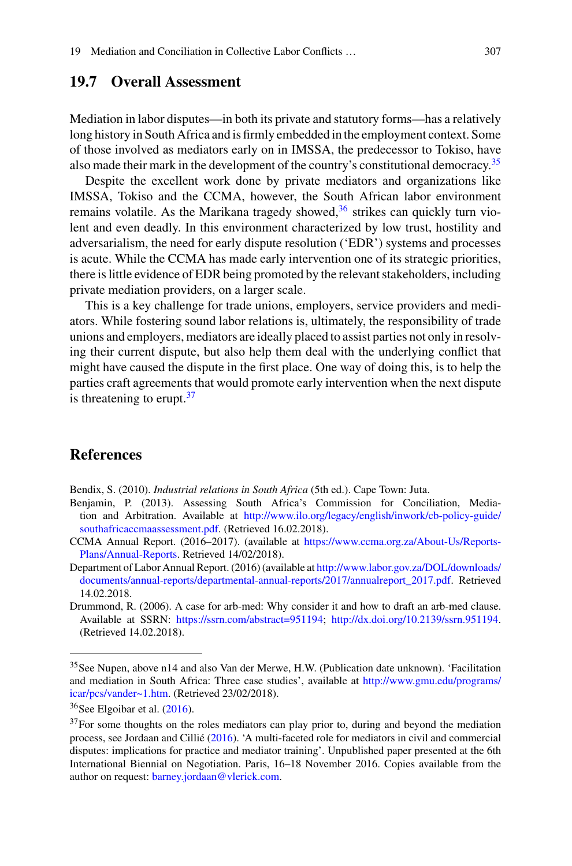#### **19.7 Overall Assessment**

Mediation in labor disputes—in both its private and statutory forms—has a relatively long history in South Africa and is firmly embedded in the employment context. Some of those involved as mediators early on in IMSSA, the predecessor to Tokiso, have also made their mark in the development of the country's constitutional democracy.<sup>[35](#page-14-5)</sup>

Despite the excellent work done by private mediators and organizations like IMSSA, Tokiso and the CCMA, however, the South African labor environment remains volatile. As the Marikana tragedy showed,  $36$  strikes can quickly turn violent and even deadly. In this environment characterized by low trust, hostility and adversarialism, the need for early dispute resolution ('EDR') systems and processes is acute. While the CCMA has made early intervention one of its strategic priorities, there is little evidence of EDR being promoted by the relevant stakeholders, including private mediation providers, on a larger scale.

This is a key challenge for trade unions, employers, service providers and mediators. While fostering sound labor relations is, ultimately, the responsibility of trade unions and employers, mediators are ideally placed to assist parties not only in resolving their current dispute, but also help them deal with the underlying conflict that might have caused the dispute in the first place. One way of doing this, is to help the parties craft agreements that would promote early intervention when the next dispute is threatening to erupt. $37$ 

### **References**

<span id="page-14-3"></span>Bendix, S. (2010). *Industrial relations in South Africa* (5th ed.). Cape Town: Juta.

- <span id="page-14-2"></span>Benjamin, P. (2013). Assessing South Africa's Commission for Conciliation, Mediation and Arbitration. Available at [http://www.ilo.org/legacy/english/inwork/cb-policy-guide/](http://www.ilo.org/legacy/english/inwork/cb-policy-guide/southafricaccmaassessment.pdf) southafricaccmaassessment.pdf. (Retrieved 16.02.2018).
- <span id="page-14-1"></span>[CCMA Annual Report. \(2016–2017\). \(available at](https://www.ccma.org.za/About-Us/Reports-Plans/Annual-Reports) https://www.ccma.org.za/About-Us/Reports-Plans/Annual-Reports. Retrieved 14/02/2018).
- <span id="page-14-0"></span>Department of Labor Annual Report. (2016) (available at http://www.labor.gov.za/DOL/downloads/ [documents/annual-reports/departmental-annual-reports/2017/annualreport\\_2017.pdf. Retrieved](http://www.labor.gov.za/DOL/downloads/documents/annual-reports/departmental-annual-reports/2017/annualreport_2017.pdf) 14.02.2018.
- <span id="page-14-4"></span>Drummond, R. (2006). A case for arb-med: Why consider it and how to draft an arb-med clause. Available at SSRN: [https://ssrn.com/abstract=951194;](https://ssrn.com/abstract=951194) [http://dx.doi.org/10.2139/ssrn.951194.](http://dx.doi.org/10.2139/ssrn.951194) (Retrieved 14.02.2018).

<span id="page-14-5"></span><sup>35</sup>See Nupen, above n14 and also Van der Merwe, H.W. (Publication date unknown). 'Facilitation [and mediation in South Africa: Three case studies', available at](http://www.gmu.edu/programs/icar/pcs/vander%7e1.htm) http://www.gmu.edu/programs/ icar/pcs/vander~1.htm. (Retrieved 23/02/2018).

<span id="page-14-6"></span><sup>36</sup>See Elgoibar et al. [\(2016\)](#page-15-6).

<span id="page-14-7"></span> $37$  For some thoughts on the roles mediators can play prior to, during and beyond the mediation process, see Jordaan and Cillié [\(2016\)](#page-15-1). 'A multi-faceted role for mediators in civil and commercial disputes: implications for practice and mediator training'. Unpublished paper presented at the 6th International Biennial on Negotiation. Paris, 16–18 November 2016. Copies available from the author on request: barney.jordaan@vlerick.com.